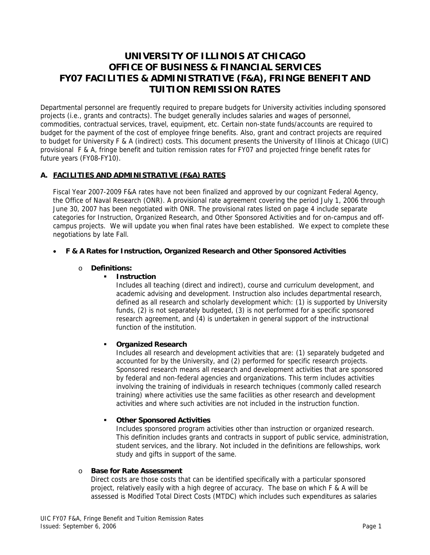# **UNIVERSITY OF ILLINOIS AT CHICAGO OFFICE OF BUSINESS & FINANCIAL SERVICES FY07 FACILITIES & ADMINISTRATIVE (F&A), FRINGE BENEFIT AND TUITION REMISSION RATES**

Departmental personnel are frequently required to prepare budgets for University activities including sponsored projects (i.e., grants and contracts). The budget generally includes salaries and wages of personnel, commodities, contractual services, travel, equipment, etc. Certain non-state funds/accounts are required to budget for the payment of the cost of employee fringe benefits. Also, grant and contract projects are required to budget for University F & A (indirect) costs. This document presents the University of Illinois at Chicago (UIC) provisional F & A, fringe benefit and tuition remission rates for FY07 and projected fringe benefit rates for future years (FY08-FY10).

# **A. FACILITIES AND ADMINISTRATIVE (F&A) RATES**

Fiscal Year 2007-2009 F&A rates have not been finalized and approved by our cognizant Federal Agency, the Office of Naval Research (ONR). A provisional rate agreement covering the period July 1, 2006 through June 30, 2007 has been negotiated with ONR. The provisional rates listed on page 4 include separate categories for Instruction, Organized Research, and Other Sponsored Activities and for on-campus and offcampus projects. We will update you when final rates have been established. We expect to complete these negotiations by late Fall.

#### • **F & A Rates for Instruction, Organized Research and Other Sponsored Activities**

#### o **Definitions:**

## **Instruction**

Includes all teaching (direct and indirect), course and curriculum development, and academic advising and development. Instruction also includes departmental research, defined as all research and scholarly development which: (1) is supported by University funds, (2) is not separately budgeted, (3) is not performed for a specific sponsored research agreement, and (4) is undertaken in general support of the instructional function of the institution.

#### **Organized Research**

Includes all research and development activities that are: (1) separately budgeted and accounted for by the University, and (2) performed for specific research projects. Sponsored research means all research and development activities that are sponsored by federal and non-federal agencies and organizations. This term includes activities involving the training of individuals in research techniques (commonly called research training) where activities use the same facilities as other research and development activities and where such activities are not included in the instruction function.

#### **Other Sponsored Activities**

Includes sponsored program activities other than instruction or organized research. This definition includes grants and contracts in support of public service, administration, student services, and the library. Not included in the definitions are fellowships, work study and gifts in support of the same.

#### o **Base for Rate Assessment**

Direct costs are those costs that can be identified specifically with a particular sponsored project, relatively easily with a high degree of accuracy. The base on which F & A will be assessed is Modified Total Direct Costs (MTDC) which includes such expenditures as salaries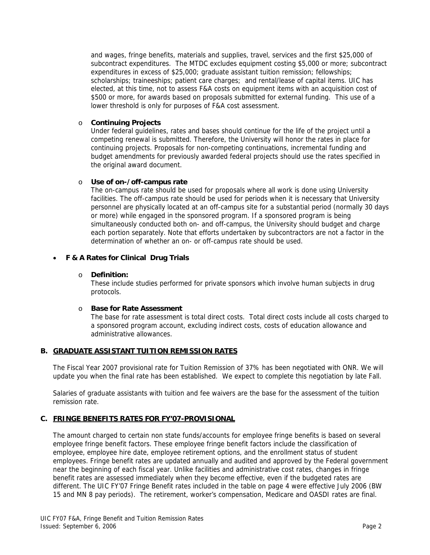and wages, fringe benefits, materials and supplies, travel, services and the first \$25,000 of subcontract expenditures. The MTDC excludes equipment costing \$5,000 or more; subcontract expenditures in excess of \$25,000; graduate assistant tuition remission; fellowships; scholarships; traineeships; patient care charges; and rental/lease of capital items. UIC has elected, at this time, not to assess F&A costs on equipment items with an acquisition cost of \$500 or more, for awards based on proposals submitted for external funding. This use of a lower threshold is only for purposes of F&A cost assessment.

#### o **Continuing Projects**

Under federal guidelines, rates and bases should continue for the life of the project until a competing renewal is submitted. Therefore, the University will honor the rates in place for continuing projects. Proposals for non-competing continuations, incremental funding and budget amendments for previously awarded federal projects should use the rates specified in the original award document.

#### o **Use of on-/off-campus rate**

The on-campus rate should be used for proposals where all work is done using University facilities. The off-campus rate should be used for periods when it is necessary that University personnel are physically located at an off-campus site for a substantial period (normally 30 days or more) while engaged in the sponsored program. If a sponsored program is being simultaneously conducted both on- and off-campus, the University should budget and charge each portion separately. Note that efforts undertaken by subcontractors are not a factor in the determination of whether an on- or off-campus rate should be used.

# • **F & A Rates for Clinical Drug Trials**

#### o **Definition:**

These include studies performed for private sponsors which involve human subjects in drug protocols.

#### o **Base for Rate Assessment**

The base for rate assessment is total direct costs. Total direct costs include all costs charged to a sponsored program account, excluding indirect costs, costs of education allowance and administrative allowances.

#### **B. GRADUATE ASSISTANT TUITION REMISSION RATES**

The Fiscal Year 2007 provisional rate for Tuition Remission of 37% has been negotiated with ONR. We will update you when the final rate has been established. We expect to complete this negotiation by late Fall.

Salaries of graduate assistants with tuition and fee waivers are the base for the assessment of the tuition remission rate.

#### **C. FRINGE BENEFITS RATES FOR FY'07-PROVISIONAL**

The amount charged to certain non state funds/accounts for employee fringe benefits is based on several employee fringe benefit factors. These employee fringe benefit factors include the classification of employee, employee hire date, employee retirement options, and the enrollment status of student employees. Fringe benefit rates are updated annually and audited and approved by the Federal government near the beginning of each fiscal year. Unlike facilities and administrative cost rates, changes in fringe benefit rates are assessed immediately when they become effective, even if the budgeted rates are different. The UIC FY'07 Fringe Benefit rates included in the table on page 4 were effective July 2006 (BW 15 and MN 8 pay periods). The retirement, worker's compensation, Medicare and OASDI rates are final.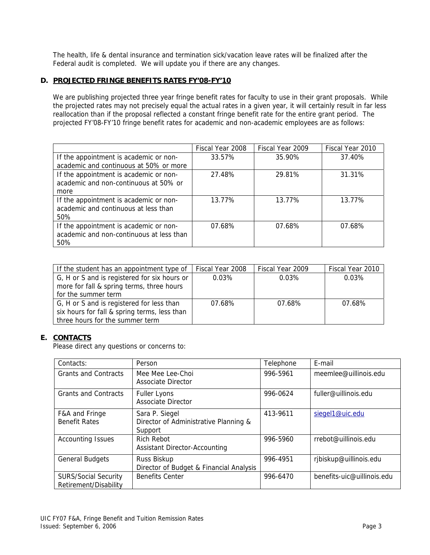The health, life & dental insurance and termination sick/vacation leave rates will be finalized after the Federal audit is completed. We will update you if there are any changes.

## **D. PROJECTED FRINGE BENEFITS RATES FY'08-FY'10**

We are publishing projected three year fringe benefit rates for faculty to use in their grant proposals. While the projected rates may not precisely equal the actual rates in a given year, it will certainly result in far less reallocation than if the proposal reflected a constant fringe benefit rate for the entire grant period. The projected FY'08-FY'10 fringe benefit rates for academic and non-academic employees are as follows:

|                                          | Fiscal Year 2008 | Fiscal Year 2009 | Fiscal Year 2010 |
|------------------------------------------|------------------|------------------|------------------|
| If the appointment is academic or non-   | 33.57%           | 35.90%           | 37.40%           |
| academic and continuous at 50% or more   |                  |                  |                  |
| If the appointment is academic or non-   | 27.48%           | 29.81%           | 31.31%           |
| academic and non-continuous at 50% or    |                  |                  |                  |
| more                                     |                  |                  |                  |
| If the appointment is academic or non-   | 13.77%           | 13.77%           | 13.77%           |
| academic and continuous at less than     |                  |                  |                  |
| 50%                                      |                  |                  |                  |
| If the appointment is academic or non-   | 07.68%           | 07.68%           | 07.68%           |
| academic and non-continuous at less than |                  |                  |                  |
| 50%                                      |                  |                  |                  |

| If the student has an appointment type of    | Fiscal Year 2008 | Fiscal Year 2009 | Fiscal Year 2010 |
|----------------------------------------------|------------------|------------------|------------------|
| G, H or S and is registered for six hours or | 0.03%            | 0.03%            | 0.03%            |
| more for fall & spring terms, three hours    |                  |                  |                  |
| for the summer term                          |                  |                  |                  |
| G, H or S and is registered for less than    | 07.68%           | 07.68%           | 07.68%           |
| six hours for fall & spring terms, less than |                  |                  |                  |
| three hours for the summer term              |                  |                  |                  |

#### **E. CONTACTS**

Please direct any questions or concerns to:

| Contacts:                                            | Person                                                             | Telephone | E-mail                     |
|------------------------------------------------------|--------------------------------------------------------------------|-----------|----------------------------|
| <b>Grants and Contracts</b>                          | Mee Mee Lee-Choi<br>Associate Director                             | 996-5961  | meemlee@uillinois.edu      |
| <b>Grants and Contracts</b>                          | <b>Fuller Lyons</b><br><b>Associate Director</b>                   | 996-0624  | fuller@uillinois.edu       |
| F&A and Fringe<br><b>Benefit Rates</b>               | Sara P. Siegel<br>Director of Administrative Planning &<br>Support | 413-9611  | siegel1@uic.edu            |
| <b>Accounting Issues</b>                             | <b>Rich Rebot</b><br><b>Assistant Director-Accounting</b>          | 996-5960  | rrebot@uillinois.edu       |
| <b>General Budgets</b>                               | Russ Biskup<br>Director of Budget & Financial Analysis             | 996-4951  | rjbiskup@uillinois.edu     |
| <b>SURS/Social Security</b><br>Retirement/Disability | <b>Benefits Center</b>                                             | 996-6470  | benefits-uic@uillinois.edu |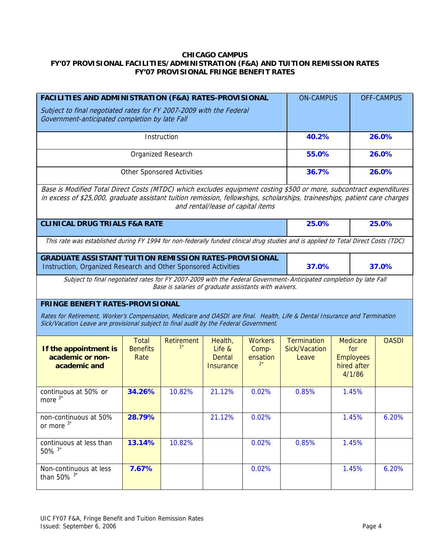# **CHICAGO CAMPUS FY'07 PROVISIONAL FACILITIES/ADMINISTRATION (F&A) AND TUITION REMISSION RATES FY'07 PROVISIONAL FRINGE BENEFIT RATES**

| <b>FACILITIES AND ADMINISTRATION (F&amp;A) RATES-PROVISIONAL</b>                                                                                                                                                                                                                       |                                         |                                   |                                                 |                                     | <b>ON-CAMPUS</b>                                    |                                                                     | <b>OFF-CAMPUS</b> |
|----------------------------------------------------------------------------------------------------------------------------------------------------------------------------------------------------------------------------------------------------------------------------------------|-----------------------------------------|-----------------------------------|-------------------------------------------------|-------------------------------------|-----------------------------------------------------|---------------------------------------------------------------------|-------------------|
| Subject to final negotiated rates for FY 2007-2009 with the Federal<br>Government-anticipated completion by late Fall                                                                                                                                                                  |                                         |                                   |                                                 |                                     |                                                     |                                                                     |                   |
|                                                                                                                                                                                                                                                                                        |                                         | Instruction                       |                                                 |                                     | 40.2%                                               |                                                                     | 26.0%             |
|                                                                                                                                                                                                                                                                                        |                                         | Organized Research                |                                                 |                                     |                                                     | 55.0%<br>26.0%                                                      |                   |
|                                                                                                                                                                                                                                                                                        |                                         | <b>Other Sponsored Activities</b> |                                                 |                                     | 36.7%                                               | 26.0%                                                               |                   |
| Base is Modified Total Direct Costs (MTDC) which excludes equipment costing \$500 or more, subcontract expenditures<br>in excess of \$25,000, graduate assistant tuition remission, fellowships, scholarships, traineeships, patient care charges<br>and rental/lease of capital items |                                         |                                   |                                                 |                                     |                                                     |                                                                     |                   |
| <b>CLINICAL DRUG TRIALS F&amp;A RATE</b>                                                                                                                                                                                                                                               |                                         |                                   |                                                 | 25.0%                               |                                                     | 25.0%                                                               |                   |
| This rate was established during FY 1994 for non-federally funded clinical drug studies and is applied to Total Direct Costs (TDC)                                                                                                                                                     |                                         |                                   |                                                 |                                     |                                                     |                                                                     |                   |
| <b>GRADUATE ASSISTANT TUITION REMISSION RATES-PROVISIONAL</b><br>Instruction, Organized Research and Other Sponsored Activities                                                                                                                                                        |                                         |                                   |                                                 |                                     | 37.0%<br>37.0%                                      |                                                                     |                   |
| Subject to final negotiated rates for FY 2007-2009 with the Federal Government-Anticipated completion by late Fall<br>Base is salaries of graduate assistants with waivers.                                                                                                            |                                         |                                   |                                                 |                                     |                                                     |                                                                     |                   |
| <b>FRINGE BENEFIT RATES-PROVISIONAL</b><br>Rates for Retirement, Worker's Compensation, Medicare and OASDI are final. Health, Life & Dental Insurance and Termination<br>Sick/Vacation Leave are provisional subject to final audit by the Federal Government.                         |                                         |                                   |                                                 |                                     |                                                     |                                                                     |                   |
| If the appointment is<br>academic or non-<br>academic and                                                                                                                                                                                                                              | <b>Total</b><br><b>Benefits</b><br>Rate | Retirement                        | Health,<br>Life &<br>Dental<br><b>Insurance</b> | <b>Workers</b><br>Comp-<br>ensation | <b>Termination</b><br><b>Sick/Vacation</b><br>Leave | <b>Medicare</b><br>for<br><b>Employees</b><br>hired after<br>4/1/86 | <b>OASDI</b>      |
| continuous at 50% or<br>more $3^*$                                                                                                                                                                                                                                                     | 34.26%                                  | 10.82%                            | 21.12%                                          | 0.02%                               | 0.85%                                               | 1.45%                                                               |                   |
| non-continuous at 50%<br>or more $3^*$                                                                                                                                                                                                                                                 | 28.79%                                  |                                   | 21.12%                                          | 0.02%                               |                                                     | 1.45%                                                               | 6.20%             |
| continuous at less than<br>$50\%$ <sup>3*</sup>                                                                                                                                                                                                                                        | 13.14%                                  | 10.82%                            |                                                 | 0.02%                               | 0.85%                                               | 1.45%                                                               |                   |
| Non-continuous at less<br>than 50% $3*$                                                                                                                                                                                                                                                | 7.67%                                   |                                   |                                                 | 0.02%                               |                                                     | 1.45%                                                               | 6.20%             |